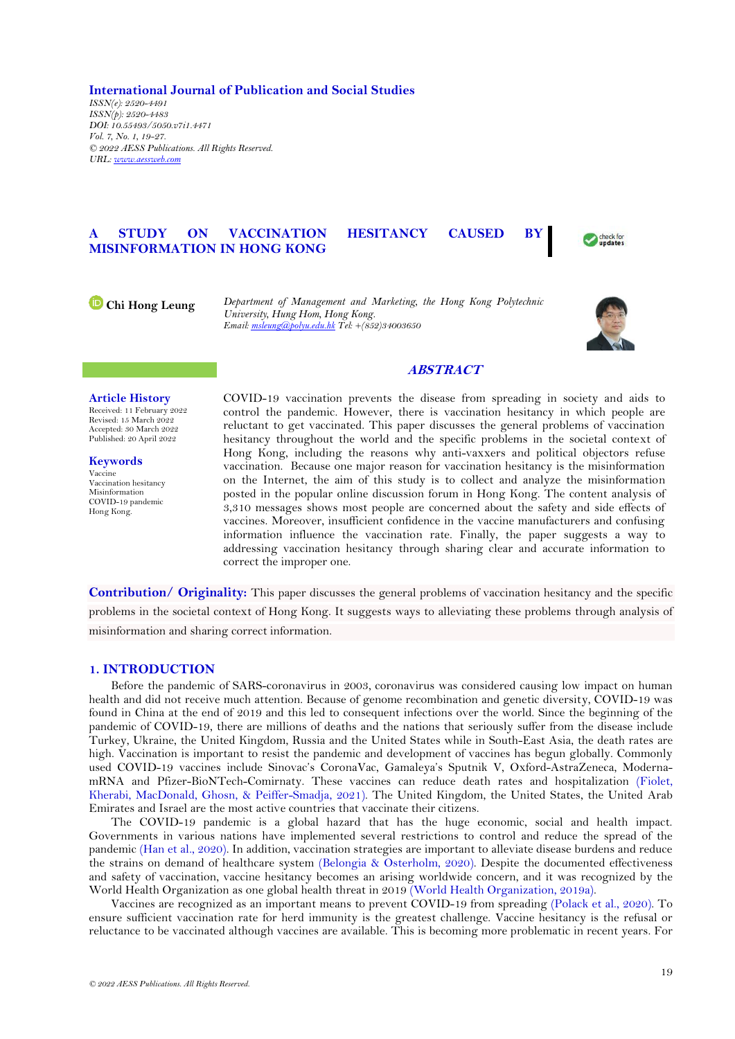**International Journal of Publication and Social Studies** *ISSN(e): 2520-4491 ISSN(p): 2520-4483 DOI: 10.55493/5050.v7i1.4471 Vol. 7, No. 1, 19-27. © 2022 AESS Publications. All Rights Reserved. URL: [www.aessweb.com](http://www.aessweb.com/)*

# **A STUDY ON VACCINATION HESITANCY CAUSED BY MISINFORMATION IN HONG KONG**



**Chi Hong Leung** *Department of Management and Marketing, the Hong Kong Polytechnic University, Hung Hom, Hong Kong. Email[: msleung@polyu.edu.hk](mailto:msleung@polyu.edu.hk) Tel: +(852)34003650*



## **ABSTRACT**

### **Article History**

Received: 11 February 2022 Revised: 15 March 2022 Accepted: 30 March 2022 Published: 20 April 2022

**Keywords** Vaccine Vaccination hesitancy Misinformation COVID-19 pandemic Hong Kong.

COVID-19 vaccination prevents the disease from spreading in society and aids to control the pandemic. However, there is vaccination hesitancy in which people are reluctant to get vaccinated. This paper discusses the general problems of vaccination hesitancy throughout the world and the specific problems in the societal context of Hong Kong, including the reasons why anti-vaxxers and political objectors refuse vaccination. Because one major reason for vaccination hesitancy is the misinformation on the Internet, the aim of this study is to collect and analyze the misinformation posted in the popular online discussion forum in Hong Kong. The content analysis of 3,310 messages shows most people are concerned about the safety and side effects of vaccines. Moreover, insufficient confidence in the vaccine manufacturers and confusing information influence the vaccination rate. Finally, the paper suggests a way to addressing vaccination hesitancy through sharing clear and accurate information to correct the improper one.

**Contribution/ Originality:** This paper discusses the general problems of vaccination hesitancy and the specific problems in the societal context of Hong Kong. It suggests ways to alleviating these problems through analysis of misinformation and sharing correct information.

## **1. INTRODUCTION**

Before the pandemic of SARS-coronavirus in 2003, coronavirus was considered causing low impact on human health and did not receive much attention. Because of genome recombination and genetic diversity, COVID-19 was found in China at the end of 2019 and this led to consequent infections over the world. Since the beginning of the pandemic of COVID-19, there are millions of deaths and the nations that seriously suffer from the disease include Turkey, Ukraine, the United Kingdom, Russia and the United States while in South-East Asia, the death rates are high. Vaccination is important to resist the pandemic and development of vaccines has begun globally. Commonly used COVID-19 vaccines include Sinovac's CoronaVac, Gamaleya's Sputnik V, Oxford-AstraZeneca, ModernamRNA and Pfizer-BioNTech-Comirnaty. These vaccines can reduce death rates and hospitalization [\(Fiolet,](#page-6-0)  [Kherabi, MacDonald, Ghosn, & Peiffer-Smadja, 2021\)](#page-6-0). The United Kingdom, the United States, the United Arab Emirates and Israel are the most active countries that vaccinate their citizens.

The COVID-19 pandemic is a global hazard that has the huge economic, social and health impact. Governments in various nations have implemented several restrictions to control and reduce the spread of the pandemic [\(Han et al., 2020\)](#page-6-1). In addition, vaccination strategies are important to alleviate disease burdens and reduce the strains on demand of healthcare system [\(Belongia & Osterholm, 2020\)](#page-5-0). Despite the documented effectiveness and safety of vaccination, vaccine hesitancy becomes an arising worldwide concern, and it was recognized by the World Health Organization as one global health threat in 2019 [\(World Health Organization,](#page-8-0) 2019a).

Vaccines are recognized as an important means to prevent COVID-19 from spreading [\(Polack et al., 2020\)](#page-7-0). To ensure sufficient vaccination rate for herd immunity is the greatest challenge. Vaccine hesitancy is the refusal or reluctance to be vaccinated although vaccines are available. This is becoming more problematic in recent years. For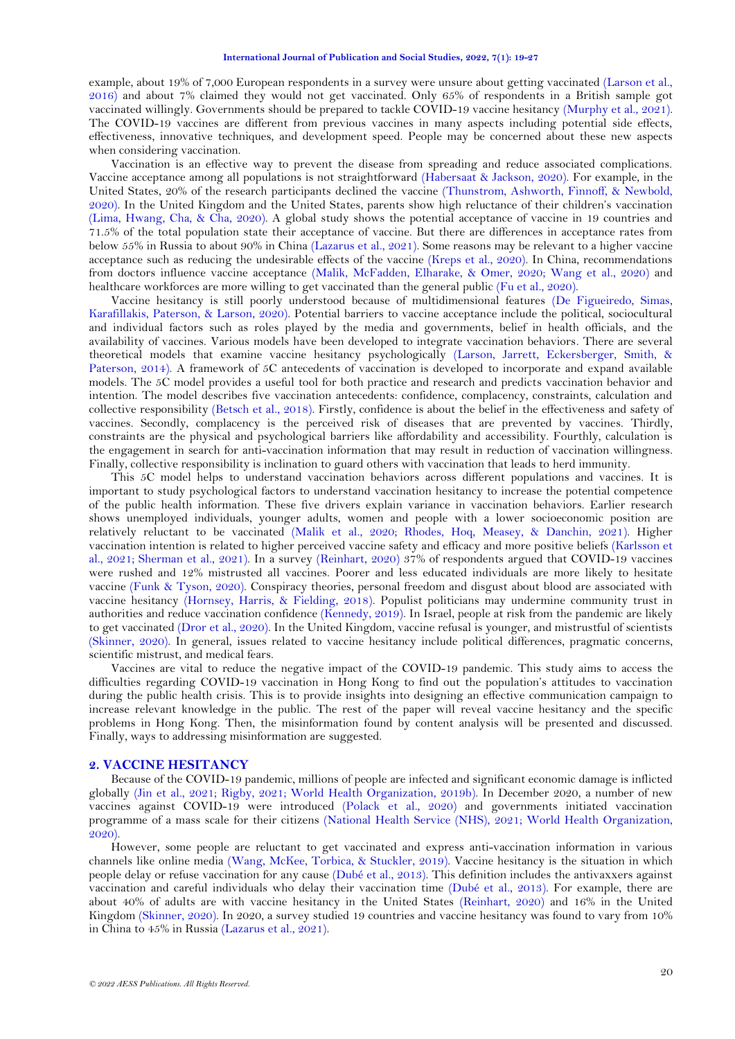example, about 19% of 7,000 European respondents in a survey were unsure about getting vaccinated [\(Larson et al.,](#page-7-1)  [2016\)](#page-7-1) and about 7% claimed they would not get vaccinated. Only 65% of respondents in a British sample got vaccinated willingly. Governments should be prepared to tackle COVID-19 vaccine hesitancy [\(Murphy et al., 2021\)](#page-7-2). The COVID-19 vaccines are different from previous vaccines in many aspects including potential side effects, effectiveness, innovative techniques, and development speed. People may be concerned about these new aspects when considering vaccination.

Vaccination is an effective way to prevent the disease from spreading and reduce associated complications. Vaccine acceptance among all populations is not straightforward [\(Habersaat & Jackson, 2020\)](#page-6-2). For example, in the United States, 20% of the research participants declined the vaccine [\(Thunstrom, Ashworth, Finnoff, & Newbold,](#page-8-1)  [2020\)](#page-8-1). In the United Kingdom and the United States, parents show high reluctance of their children's vaccination [\(Lima, Hwang, Cha, & Cha, 2020\)](#page-7-3). A global study shows the potential acceptance of vaccine in 19 countries and 71.5% of the total population state their acceptance of vaccine. But there are differences in acceptance rates from below 55% in Russia to about 90% in China (Lazarus et [al., 2021\)](#page-7-4). Some reasons may be relevant to a higher vaccine acceptance such as reducing the undesirable effects of the vaccine [\(Kreps et al., 2020\)](#page-7-5). In China, recommendations from doctors influence vaccine acceptance [\(Malik, McFadden, Elharake, & Omer, 2020;](#page-7-6) [Wang et al., 2020\)](#page-8-2) and healthcare workforces are more willing to get vaccinated than the general public [\(Fu et al., 2020\)](#page-6-3).

Vaccine hesitancy is still poorly understood because of multidimensional features [\(De Figueiredo, Simas,](#page-6-4)  [Karafillakis, Paterson,](#page-6-4) & Larson, 2020). Potential barriers to vaccine acceptance include the political, sociocultural and individual factors such as roles played by the media and governments, belief in health officials, and the availability of vaccines. Various models have been developed to integrate vaccination behaviors. There are several theoretical models that examine vaccine hesitancy psychologically [\(Larson, Jarrett, Eckersberger, Smith, &](#page-7-7)  [Paterson, 2014\)](#page-7-7). A framework of 5C antecedents of vaccination is developed to incorporate and expand available models. The 5C model provides a useful tool for both practice and research and predicts vaccination behavior and intention. The model describes five vaccination antecedents: confidence, complacency, constraints, calculation and collective responsibility [\(Betsch et al., 2018\)](#page-5-1). Firstly, confidence is about the belief in the effectiveness and safety of vaccines. Secondly, complacency is the perceived risk of diseases that are prevented by vaccines. Thirdly, constraints are the physical and psychological barriers like affordability and accessibility. Fourthly, calculation is the engagement in search for anti-vaccination information that may result in reduction of vaccination willingness. Finally, collective responsibility is inclination to guard others with vaccination that leads to herd immunity.

This 5C model helps to understand vaccination behaviors across different populations and vaccines. It is important to study psychological factors to understand vaccination hesitancy to increase the potential competence of the public health information. These five drivers explain variance in vaccination behaviors. Earlier research shows unemployed individuals, younger adults, women and people with a lower socioeconomic position are relatively reluctant to be vaccinated [\(Malik et al., 2020;](#page-7-6) [Rhodes, Hoq, Measey, & Danchin, 2021\)](#page-7-8). Higher vaccination intention is related to higher perceived vaccine safety and efficacy and more positive beliefs [\(Karlsson et](#page-6-5)  [al., 2021;](#page-6-5) [Sherman et al., 2021\)](#page-8-3). In a survey [\(Reinhart, 2020\)](#page-7-9) 37% of respondents argued that COVID-19 vaccines were rushed and 12% mistrusted all vaccines. Poorer and less educated individuals are more likely to hesitate vaccine [\(Funk & Tyson, 2020\)](#page-6-6). Conspiracy theories, personal freedom and disgust about blood are associated with vaccine hesitancy [\(Hornsey, Harris, & Fielding, 2018\)](#page-6-7). Populist politicians may undermine community trust in authorities and reduce vaccination confidence [\(Kennedy, 2019\)](#page-6-8). In Israel, people at risk from the pandemic are likely to get vaccinated [\(Dror et al., 2020\)](#page-6-9). In the United Kingdom, vaccine refusal is younger, and mistrustful of scientists [\(Skinner, 2020\)](#page-8-4). In general, issues related to vaccine hesitancy include political differences, pragmatic concerns, scientific mistrust, and medical fears.

Vaccines are vital to reduce the negative impact of the COVID-19 pandemic. This study aims to access the difficulties regarding COVID-19 vaccination in Hong Kong to find out the population's attitudes to vaccination during the public health crisis. This is to provide insights into designing an effective communication campaign to increase relevant knowledge in the public. The rest of the paper will reveal vaccine hesitancy and the specific problems in Hong Kong. Then, the misinformation found by content analysis will be presented and discussed. Finally, ways to addressing misinformation are suggested.

### **2. VACCINE HESITANCY**

Because of the COVID-19 pandemic, millions of people are infected and significant economic damage is inflicted globally [\(Jin et al., 2021;](#page-6-10) [Rigby, 2021;](#page-7-10) [World Health Organization, 2019b\)](#page-8-5). In December 2020, a number of new vaccines against COVID-19 were introduced [\(Polack et al., 2020\)](#page-7-0) and governments initiated vaccination programme of a mass scale for their citizens [\(National Health Service \(NHS\), 2021;](#page-7-11) [World Health Organization,](#page-8-6)  [2020\)](#page-8-6).

However, some people are reluctant to get vaccinated and express anti-vaccination information in various channels like online media [\(Wang, McKee, Torbica, & Stuckler, 2019\)](#page-8-7). Vaccine hesitancy is the situation in which people delay or refuse vaccination for any cause (Dubé [et al., 2013\)](#page-6-11). This definition includes the antivaxxers against vaccination and careful individuals who delay their vaccination time [\(Dubé et al., 2013\)](#page-6-11). For example, there are about 40% of adults are with vaccine hesitancy in the United States [\(Reinhart, 2020\)](#page-7-9) and 16% in the United Kingdom [\(Skinner, 2020\)](#page-8-4). In 2020, a survey studied 19 countries and vaccine hesitancy was found to vary from 10% in China to 45% in Russia [\(Lazarus et al., 2021\)](#page-7-4).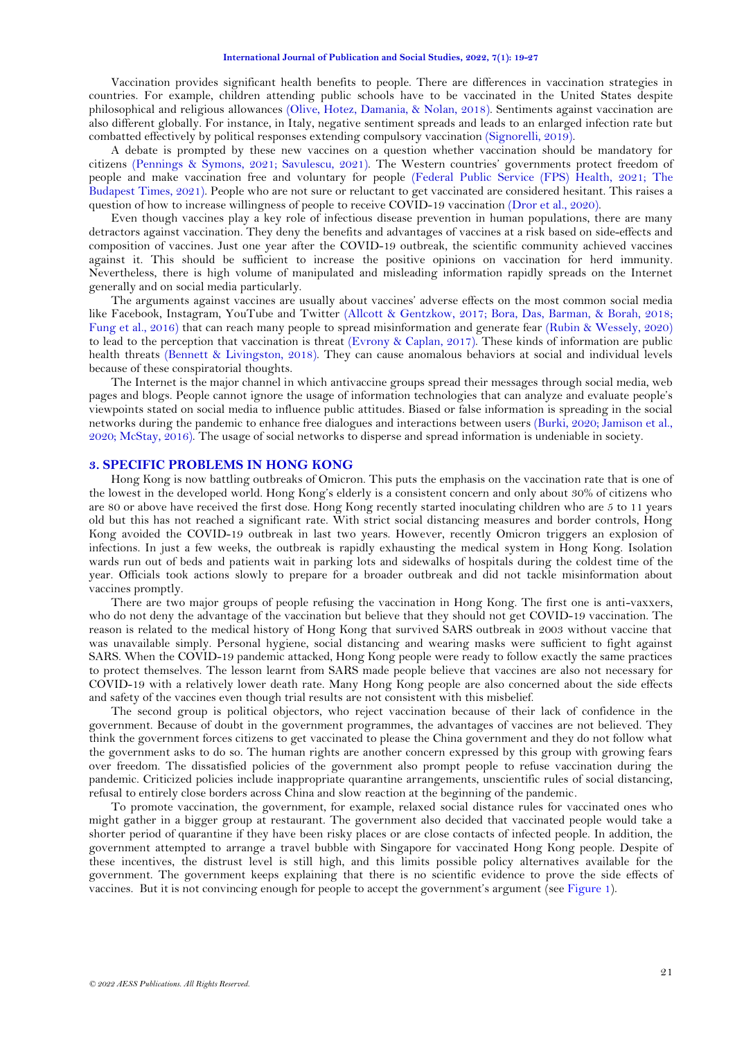Vaccination provides significant health benefits to people. There are differences in vaccination strategies in countries. For example, children attending public schools have to be vaccinated in the United States despite philosophical and religious allowances [\(Olive, Hotez, Damania, & Nolan, 2018\)](#page-7-12). Sentiments against vaccination are also different globally. For instance, in Italy, negative sentiment spreads and leads to an enlarged infection rate but combatted effectively by political responses extending compulsory vaccination [\(Signorelli, 2019\)](#page-8-8).

A debate is prompted by these new vaccines on a question whether vaccination should be mandatory for citizens [\(Pennings & Symons, 2021;](#page-7-13) [Savulescu, 2021\)](#page-7-14). The Western countries' governments protect freedom of people and make vaccination free and voluntary for people [\(Federal Public Service \(FPS\) Health, 2021;](#page-6-12) [The](#page-8-9) [Budapest Times, 2021\)](#page-8-9). People who are not sure or reluctant to get vaccinated are considered hesitant. This raises a question of how to increase willingness of people to receive COVID-19 vaccination [\(Dror et al., 2020\)](#page-6-9).

Even though vaccines play a key role of infectious disease prevention in human populations, there are many detractors against vaccination. They deny the benefits and advantages of vaccines at a risk based on side-effects and composition of vaccines. Just one year after the COVID-19 outbreak, the scientific community achieved vaccines against it. This should be sufficient to increase the positive opinions on vaccination for herd immunity. Nevertheless, there is high volume of manipulated and misleading information rapidly spreads on the Internet generally and on social media particularly.

The arguments against vaccines are usually about vaccines' adverse effects on the most common social media like Facebook, Instagram, YouTube and Twitter [\(Allcott & Gentzkow, 2017;](#page-5-2) [Bora, Das, Barman, & Borah, 2018;](#page-5-3) [Fung et al., 2016\)](#page-6-13) that can reach many people to spread misinformation and generate fear [\(Rubin & Wessely, 2020\)](#page-7-15) to lead to the perception that vaccination is threat (Evrony [& Caplan, 2017\)](#page-6-14). These kinds of information are public health threats [\(Bennett & Livingston, 2018\)](#page-5-4). They can cause anomalous behaviors at social and individual levels because of these conspiratorial thoughts.

The Internet is the major channel in which antivaccine groups spread their messages through social media, web pages and blogs. People cannot ignore the usage of information technologies that can analyze and evaluate people's viewpoints stated on social media to influence public attitudes. Biased or false information is spreading in the social networks during the pandemic to enhance free dialogues and interactions between users [\(Burki, 2020;](#page-5-5) [Jamison et al.,](#page-6-15)  [2020;](#page-6-15) [McStay, 2016\)](#page-7-16). The usage of social networks to disperse and spread information is undeniable in society.

### **3. SPECIFIC PROBLEMS IN HONG KONG**

Hong Kong is now battling outbreaks of Omicron. This puts the emphasis on the vaccination rate that is one of the lowest in the developed world. Hong Kong's elderly is a consistent concern and only about 30% of citizens who are 80 or above have received the first dose. Hong Kong recently started inoculating children who are 5 to 11 years old but this has not reached a significant rate. With strict social distancing measures and border controls, Hong Kong avoided the COVID-19 outbreak in last two years. However, recently Omicron triggers an explosion of infections. In just a few weeks, the outbreak is rapidly exhausting the medical system in Hong Kong. Isolation wards run out of beds and patients wait in parking lots and sidewalks of hospitals during the coldest time of the year. Officials took actions slowly to prepare for a broader outbreak and did not tackle misinformation about vaccines promptly.

There are two major groups of people refusing the vaccination in Hong Kong. The first one is anti-vaxxers, who do not deny the advantage of the vaccination but believe that they should not get COVID-19 vaccination. The reason is related to the medical history of Hong Kong that survived SARS outbreak in 2003 without vaccine that was unavailable simply. Personal hygiene, social distancing and wearing masks were sufficient to fight against SARS. When the COVID-19 pandemic attacked, Hong Kong people were ready to follow exactly the same practices to protect themselves. The lesson learnt from SARS made people believe that vaccines are also not necessary for COVID-19 with a relatively lower death rate. Many Hong Kong people are also concerned about the side effects and safety of the vaccines even though trial results are not consistent with this misbelief.

The second group is political objectors, who reject vaccination because of their lack of confidence in the government. Because of doubt in the government programmes, the advantages of vaccines are not believed. They think the government forces citizens to get vaccinated to please the China government and they do not follow what the government asks to do so. The human rights are another concern expressed by this group with growing fears over freedom. The dissatisfied policies of the government also prompt people to refuse vaccination during the pandemic. Criticized policies include inappropriate quarantine arrangements, unscientific rules of social distancing, refusal to entirely close borders across China and slow reaction at the beginning of the pandemic.

To promote vaccination, the government, for example, relaxed social distance rules for vaccinated ones who might gather in a bigger group at restaurant. The government also decided that vaccinated people would take a shorter period of quarantine if they have been risky places or are close contacts of infected people. In addition, the government attempted to arrange a travel bubble with Singapore for vaccinated Hong Kong people. Despite of these incentives, the distrust level is still high, and this limits possible policy alternatives available for the government. The government keeps explaining that there is no scientific evidence to prove the side effects of vaccines. But it is not convincing enough for people to accept the government's argument (se[e Figure 1\)](#page-3-0).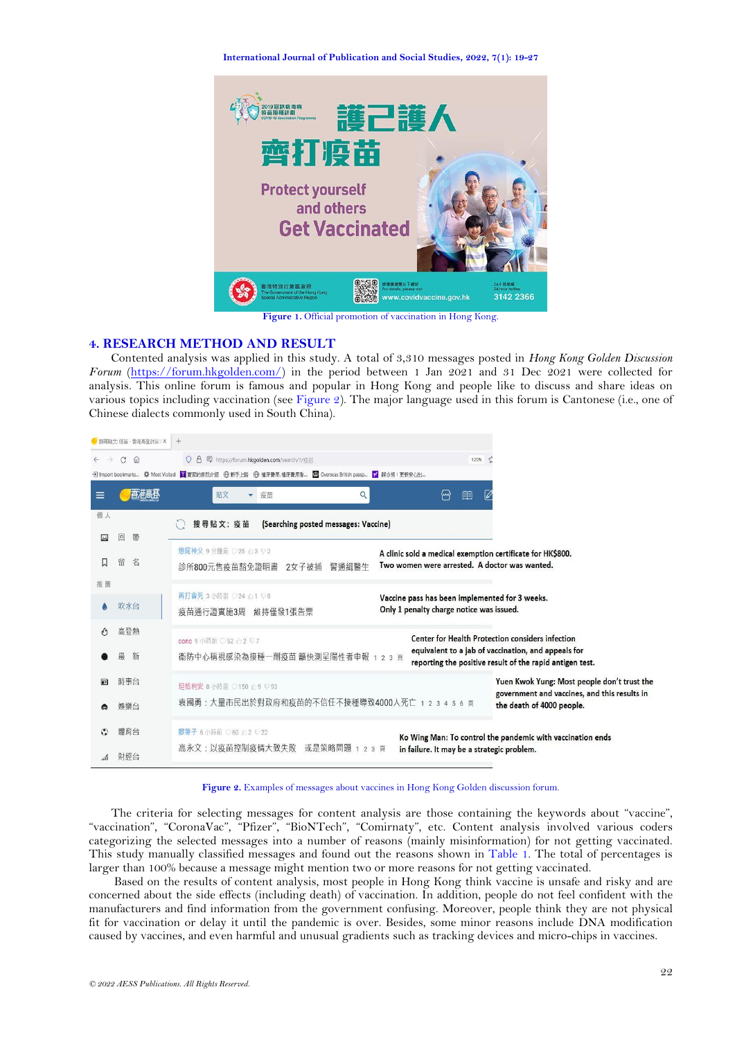#### **International Journal of Publication and Social Studies, 2022, 7(1): 19-27**



**Figure 1.** Official promotion of vaccination in Hong Kong.

## <span id="page-3-0"></span>**4. RESEARCH METHOD AND RESULT**

Contented analysis was applied in this study. A total of 3,310 messages posted in *Hong Kong Golden Discussion Forum* [\(https://forum.hkgolden.com/\)](https://forum.hkgolden.com/) in the period between 1 Jan 2021 and 31 Dec 2021 were collected for analysis. This online forum is famous and popular in Hong Kong and people like to discuss and share ideas on various topics including vaccination (see [Figure 2\)](#page-3-1). The major language used in this forum is Cantonese (i.e., one of Chinese dialects commonly used in South China).

|                               | / 搜尋貼文:疫苗 - 香港高登时論 X | $+$                                                                                                                                                 |                                                                                                             |  |  |  |  |  |
|-------------------------------|----------------------|-----------------------------------------------------------------------------------------------------------------------------------------------------|-------------------------------------------------------------------------------------------------------------|--|--|--|--|--|
| $\rightarrow$<br>$\leftarrow$ | C<br>$\bigcirc$      | 导 https://forum.hkgolden.com/search/T/疫苗<br>O <sub>A</sub>                                                                                          | 120%                                                                                                        |  |  |  |  |  |
|                               |                      |                                                                                                                                                     |                                                                                                             |  |  |  |  |  |
| $\equiv$                      | 杏港高登                 | 貼文<br>Q<br>▼ 疫苗                                                                                                                                     | ∰<br>明<br>Ø                                                                                                 |  |  |  |  |  |
| 個人                            |                      | (Searching posted messages: Vaccine)<br>搜尋貼文: 疫苗                                                                                                    |                                                                                                             |  |  |  |  |  |
|                               | ▣<br>帶               |                                                                                                                                                     |                                                                                                             |  |  |  |  |  |
|                               | 留<br>名               | 戀屍神父 9 分鐘前 ○25 心3 □2<br>診所800元售疫苗豁免證明書<br>2女子被捕<br>警涌緝醫牛                                                                                            | A clinic sold a medical exemption certificate for HK\$800.<br>Two women were arrested. A doctor was wanted. |  |  |  |  |  |
| 推薦                            |                      |                                                                                                                                                     |                                                                                                             |  |  |  |  |  |
|                               | 吹水台                  | 再打會死 3 小時前 ○24 心1 □8<br>疫苗通行證實施3周<br>維持僅發1張告票                                                                                                       | Vaccine pass has been implemented for 3 weeks.<br>Only 1 penalty charge notice was issued.                  |  |  |  |  |  |
|                               | 高登熱                  | conc 9 小時前 ○52 △ 2 127                                                                                                                              | <b>Center for Health Protection considers infection</b>                                                     |  |  |  |  |  |
|                               | 新<br>朂               | equivalent to a jab of vaccination, and appeals for<br>衞防中心稱視感染為接種一劑疫苗 籲快測呈陽性者申報<br>23頁<br>reporting the positive result of the rapid antigen test. |                                                                                                             |  |  |  |  |  |
| æ                             | 時事台                  | 坦格利安 8 小時前 ○150 △9 ↓93                                                                                                                              | Yuen Kwok Yung: Most people don't trust the                                                                 |  |  |  |  |  |
|                               | 娛樂台                  | 袁國勇:大量市民出於對政府和疫苗的不信任不接種導致4000人死亡 1 2 3 4 5 6 頁                                                                                                      | government and vaccines, and this results in<br>the death of 4000 people.                                   |  |  |  |  |  |
|                               | 體育台                  | 膠筆子 6 小時前 ◎60 △2 平22                                                                                                                                | Ko Wing Man: To control the pandemic with vaccination ends                                                  |  |  |  |  |  |
|                               | 財經台                  | 高永文:以疫苗控制疫情大致失敗 或是策略問題<br>2 3 頁                                                                                                                     | in failure. It may be a strategic problem.                                                                  |  |  |  |  |  |

**Figure 2.** Examples of messages about vaccines in Hong Kong Golden discussion forum.

<span id="page-3-1"></span>The criteria for selecting messages for content analysis are those containing the keywords about "vaccine", "vaccination", "CoronaVac", "Pfizer", "BioNTech", "Comirnaty", etc. Content analysis involved various coders categorizing the selected messages into a number of reasons (mainly misinformation) for not getting vaccinated. This study manually classified messages and found out the reasons shown in [Table 1.](#page-4-0) The total of percentages is larger than 100% because a message might mention two or more reasons for not getting vaccinated.

Based on the results of content analysis, most people in Hong Kong think vaccine is unsafe and risky and are concerned about the side effects (including death) of vaccination. In addition, people do not feel confident with the manufacturers and find information from the government confusing. Moreover, people think they are not physical fit for vaccination or delay it until the pandemic is over. Besides, some minor reasons include DNA modification caused by vaccines, and even harmful and unusual gradients such as tracking devices and micro-chips in vaccines.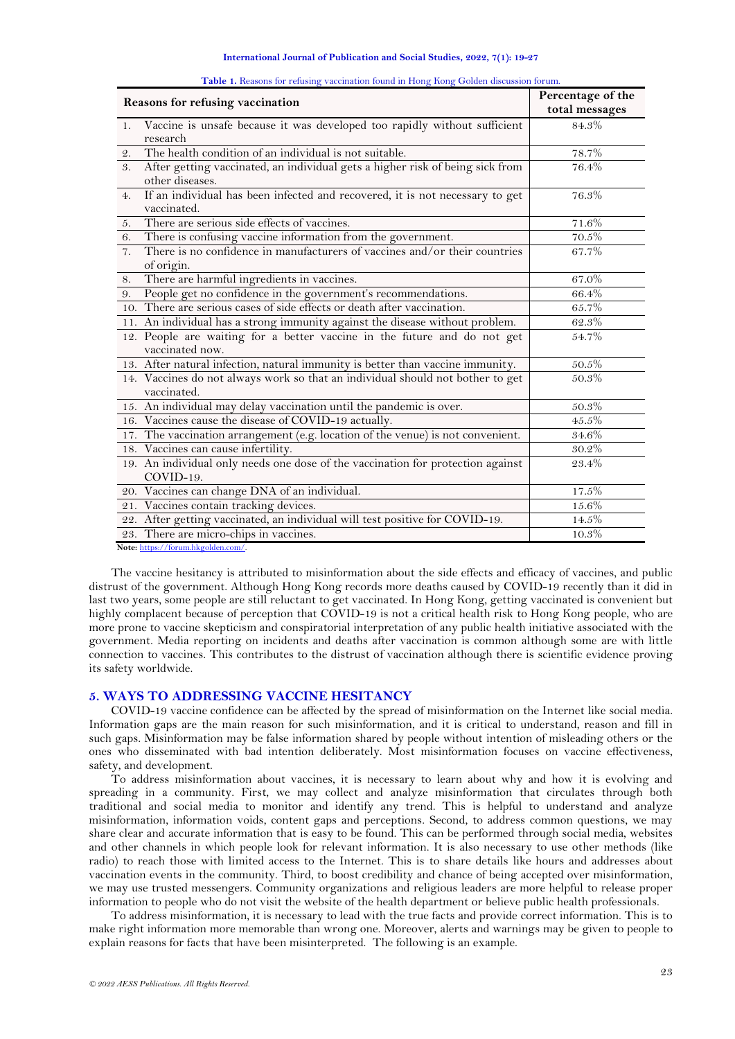#### **International Journal of Publication and Social Studies, 2022, 7(1): 19-27**

<span id="page-4-0"></span>

| Reasons for refusing vaccination                                                                       | Percentage of the<br>total messages |
|--------------------------------------------------------------------------------------------------------|-------------------------------------|
| Vaccine is unsafe because it was developed too rapidly without sufficient<br>1.<br>research            | $84.3\%$                            |
| The health condition of an individual is not suitable.<br>2.                                           | 78.7%                               |
| After getting vaccinated, an individual gets a higher risk of being sick from<br>3.<br>other diseases. | 76.4%                               |
| If an individual has been infected and recovered, it is not necessary to get<br>4.<br>vaccinated.      | 76.3%                               |
| There are serious side effects of vaccines.<br>5.                                                      | $71.6\%$                            |
| There is confusing vaccine information from the government.<br>6.                                      | 70.5%                               |
| There is no confidence in manufacturers of vaccines and/or their countries<br>7.<br>of origin.         | 67.7%                               |
| There are harmful ingredients in vaccines.<br>8.                                                       | 67.0%                               |
| People get no confidence in the government's recommendations.<br>9.                                    | 66.4%                               |
| 10. There are serious cases of side effects or death after vaccination.                                | 65.7%                               |
| 11. An individual has a strong immunity against the disease without problem.                           | 62.3%                               |
| 12. People are waiting for a better vaccine in the future and do not get<br>vaccinated now.            | 54.7%                               |
| 13. After natural infection, natural immunity is better than vaccine immunity.                         | $50.5\%$                            |
| 14. Vaccines do not always work so that an individual should not bother to get<br>vaccinated.          | 50.3%                               |
| 15. An individual may delay vaccination until the pandemic is over.                                    | 50.3%                               |
| 16. Vaccines cause the disease of COVID-19 actually.                                                   | 45.5%                               |
| 17. The vaccination arrangement (e.g. location of the venue) is not convenient.                        | $34.6\%$                            |
| 18. Vaccines can cause infertility.                                                                    | $30.2\%$                            |
| 19. An individual only needs one dose of the vaccination for protection against<br>COVID-19.           | 23.4%                               |
| 20. Vaccines can change DNA of an individual.                                                          | 17.5%                               |
| 21. Vaccines contain tracking devices.                                                                 | 15.6%                               |
| 22. After getting vaccinated, an individual will test positive for COVID-19.                           | 14.5%                               |
| 23. There are micro-chips in vaccines.                                                                 | 10.3%                               |

|  | Table 1. Reasons for refusing vaccination found in Hong Kong Golden discussion forum. |  |  |  |
|--|---------------------------------------------------------------------------------------|--|--|--|
|  |                                                                                       |  |  |  |

**Note:** [https://forum.hkgolden.com/.](https://forum.hkgolden.com/)

The vaccine hesitancy is attributed to misinformation about the side effects and efficacy of vaccines, and public distrust of the government. Although Hong Kong records more deaths caused by COVID-19 recently than it did in last two years, some people are still reluctant to get vaccinated. In Hong Kong, getting vaccinated is convenient but highly complacent because of perception that COVID-19 is not a critical health risk to Hong Kong people, who are more prone to vaccine skepticism and conspiratorial interpretation of any public health initiative associated with the government. Media reporting on incidents and deaths after vaccination is common although some are with little connection to vaccines. This contributes to the distrust of vaccination although there is scientific evidence proving its safety worldwide.

### **5. WAYS TO ADDRESSING VACCINE HESITANCY**

COVID-19 vaccine confidence can be affected by the spread of misinformation on the Internet like social media. Information gaps are the main reason for such misinformation, and it is critical to understand, reason and fill in such gaps. Misinformation may be false information shared by people without intention of misleading others or the ones who disseminated with bad intention deliberately. Most misinformation focuses on vaccine effectiveness, safety, and development.

To address misinformation about vaccines, it is necessary to learn about why and how it is evolving and spreading in a community. First, we may collect and analyze misinformation that circulates through both traditional and social media to monitor and identify any trend. This is helpful to understand and analyze misinformation, information voids, content gaps and perceptions. Second, to address common questions, we may share clear and accurate information that is easy to be found. This can be performed through social media, websites and other channels in which people look for relevant information. It is also necessary to use other methods (like radio) to reach those with limited access to the Internet. This is to share details like hours and addresses about vaccination events in the community. Third, to boost credibility and chance of being accepted over misinformation, we may use trusted messengers. Community organizations and religious leaders are more helpful to release proper information to people who do not visit the website of the health department or believe public health professionals.

To address misinformation, it is necessary to lead with the true facts and provide correct information. This is to make right information more memorable than wrong one. Moreover, alerts and warnings may be given to people to explain reasons for facts that have been misinterpreted. The following is an example.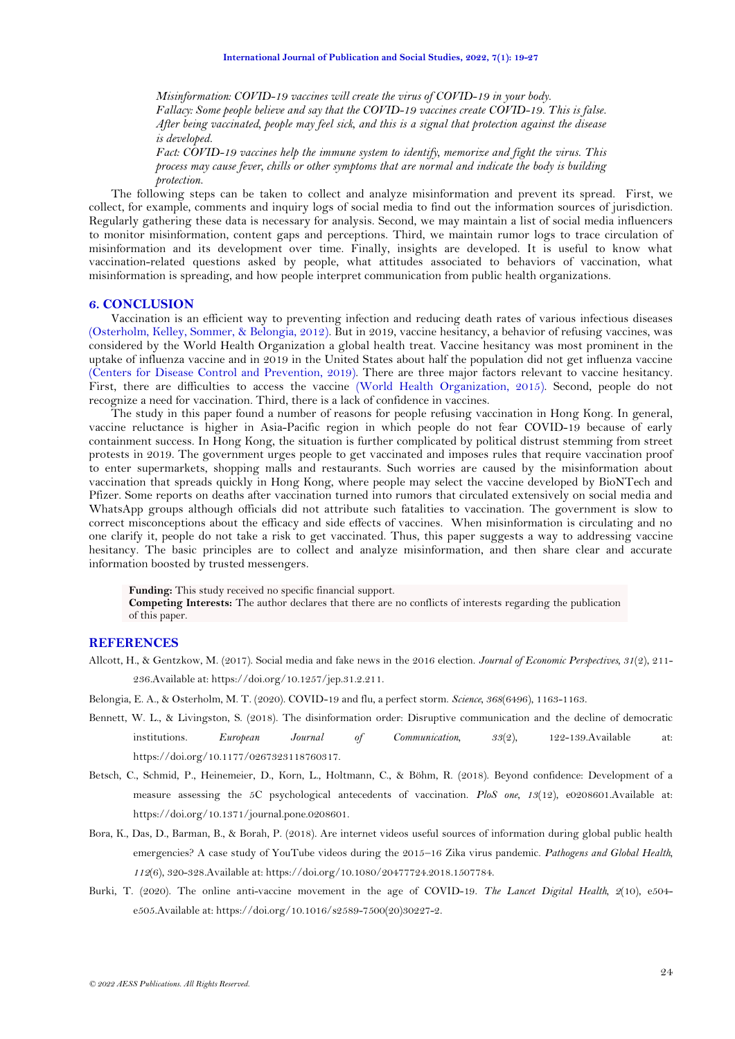*Misinformation: COVID-19 vaccines will create the virus of COVID-19 in your body. Fallacy: Some people believe and say that the COVID-19 vaccines create COVID-19. This is false. After being vaccinated, people may feel sick, and this is a signal that protection against the disease is developed.*

*Fact: COVID-19 vaccines help the immune system to identify, memorize and fight the virus. This process may cause fever, chills or other symptoms that are normal and indicate the body is building protection.*

The following steps can be taken to collect and analyze misinformation and prevent its spread. First, we collect, for example, comments and inquiry logs of social media to find out the information sources of jurisdiction. Regularly gathering these data is necessary for analysis. Second, we may maintain a list of social media influencers to monitor misinformation, content gaps and perceptions. Third, we maintain rumor logs to trace circulation of misinformation and its development over time. Finally, insights are developed. It is useful to know what vaccination-related questions asked by people, what attitudes associated to behaviors of vaccination, what misinformation is spreading, and how people interpret communication from public health organizations.

### **6. CONCLUSION**

Vaccination is an efficient way to preventing infection and reducing death rates of various infectious diseases [\(Osterholm, Kelley, Sommer, & Belongia, 2012\)](#page-7-17). But in 2019, vaccine hesitancy, a behavior of refusing vaccines, was considered by the World Health Organization a global health treat. Vaccine hesitancy was most prominent in the uptake of influenza vaccine and in 2019 in the United States about half the population did not get influenza vaccine (Centers for Disease [Control and Prevention, 2019\)](#page-6-16). There are three major factors relevant to vaccine hesitancy. First, there are difficulties to access the vaccine [\(World Health Organization, 2015\)](#page-8-10). Second, people do not recognize a need for vaccination. Third, there is a lack of confidence in vaccines.

The study in this paper found a number of reasons for people refusing vaccination in Hong Kong. In general, vaccine reluctance is higher in Asia-Pacific region in which people do not fear COVID-19 because of early containment success. In Hong Kong, the situation is further complicated by political distrust stemming from street protests in 2019. The government urges people to get vaccinated and imposes rules that require vaccination proof to enter supermarkets, shopping malls and restaurants. Such worries are caused by the misinformation about vaccination that spreads quickly in Hong Kong, where people may select the vaccine developed by BioNTech and Pfizer. Some reports on deaths after vaccination turned into rumors that circulated extensively on social media and WhatsApp groups although officials did not attribute such fatalities to vaccination. The government is slow to correct misconceptions about the efficacy and side effects of vaccines. When misinformation is circulating and no one clarify it, people do not take a risk to get vaccinated. Thus, this paper suggests a way to addressing vaccine hesitancy. The basic principles are to collect and analyze misinformation, and then share clear and accurate information boosted by trusted messengers.

**Funding:** This study received no specific financial support.

**Competing Interests:** The author declares that there are no conflicts of interests regarding the publication of this paper.

## **REFERENCES**

<span id="page-5-2"></span>Allcott, H., & Gentzkow, M. (2017). Social media and fake news in the 2016 election. *Journal of Economic Perspectives, 31*(2), 211-

236.Available at: https://doi.org/10.1257/jep.31.2.211.

<span id="page-5-0"></span>Belongia, E. A., & Osterholm, M. T. (2020). COVID-19 and flu, a perfect storm. *Science, 368*(6496), 1163-1163.

- <span id="page-5-4"></span>Bennett, W. L., & Livingston, S. (2018). The disinformation order: Disruptive communication and the decline of democratic institutions. *European Journal of Communication, 33*(2), 122-139.Available at: https://doi.org/10.1177/0267323118760317.
- <span id="page-5-1"></span>Betsch, C., Schmid, P., Heinemeier, D., Korn, L., Holtmann, C., & Böhm, R. (2018). Beyond confidence: Development of a measure assessing the 5C psychological antecedents of vaccination. *PloS one, 13*(12), e0208601.Available at: https://doi.org/10.1371/journal.pone.0208601.
- <span id="page-5-3"></span>Bora, K., Das, D., Barman, B., & Borah, P. (2018). Are internet videos useful sources of information during global public health emergencies? A case study of YouTube videos during the 2015–16 Zika virus pandemic. *Pathogens and Global Health, 112*(6), 320-328.Available at: https://doi.org/10.1080/20477724.2018.1507784.
- <span id="page-5-5"></span>Burki, T. (2020). The online anti-vaccine movement in the age of COVID-19. *The Lancet Digital Health, 2*(10), e504 e505.Available at: https://doi.org/10.1016/s2589-7500(20)30227-2.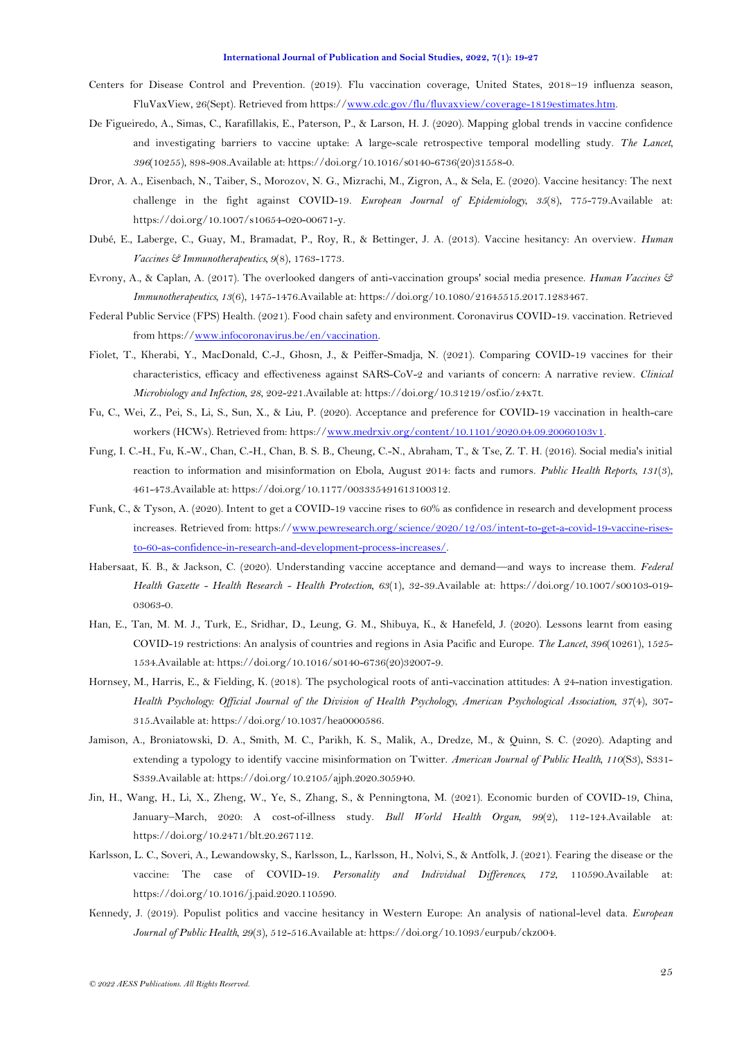- <span id="page-6-16"></span>Centers for Disease Control and Prevention. (2019). Flu vaccination coverage, United States, 2018–19 influenza season, FluVaxView, 26(Sept). Retrieved from https:/[/www.cdc.gov/flu/fluvaxview/coverage-1819estimates.htm.](http://www.cdc.gov/flu/fluvaxview/coverage-1819estimates.htm)
- <span id="page-6-4"></span>De Figueiredo, A., Simas, C., Karafillakis, E., Paterson, P., & Larson, H. J. (2020). Mapping global trends in vaccine confidence and investigating barriers to vaccine uptake: A large-scale retrospective temporal modelling study. *The Lancet, 396*(10255), 898-908.Available at: https://doi.org/10.1016/s0140-6736(20)31558-0.
- <span id="page-6-9"></span>Dror, A. A., Eisenbach, N., Taiber, S., Morozov, N. G., Mizrachi, M., Zigron, A., & Sela, E. (2020). Vaccine hesitancy: The next challenge in the fight against COVID-19. *European Journal of Epidemiology, 35*(8), 775-779.Available at: https://doi.org/10.1007/s10654-020-00671-y.
- <span id="page-6-11"></span>Dubé, E., Laberge, C., Guay, M., Bramadat, P., Roy, R., & Bettinger, J. A. (2013). Vaccine hesitancy: An overview. *Human Vaccines & Immunotherapeutics, 9*(8), 1763-1773.
- <span id="page-6-14"></span>Evrony, A., & Caplan, A. (2017). The overlooked dangers of anti-vaccination groups' social media presence. *Human Vaccines & Immunotherapeutics, 13*(6), 1475-1476.Available at: https://doi.org/10.1080/21645515.2017.1283467.
- <span id="page-6-12"></span>Federal Public Service (FPS) Health. (2021). Food chain safety and environment. Coronavirus COVID-19. vaccination. Retrieved from https:/[/www.infocoronavirus.be/en/vaccination.](http://www.infocoronavirus.be/en/vaccination)
- <span id="page-6-0"></span>Fiolet, T., Kherabi, Y., MacDonald, C.-J., Ghosn, J., & Peiffer-Smadja, N. (2021). Comparing COVID-19 vaccines for their characteristics, efficacy and effectiveness against SARS-CoV-2 and variants of concern: A narrative review. *Clinical Microbiology and Infection, 28*, 202-221.Available at: https://doi.org/10.31219/osf.io/z4x7t.
- <span id="page-6-3"></span>Fu, C., Wei, Z., Pei, S., Li, S., Sun, X., & Liu, P. (2020). Acceptance and preference for COVID-19 vaccination in health-care workers (HCWs). Retrieved from: https:/[/www.medrxiv.org/content/10.1101/2020.04.09.20060103v1.](http://www.medrxiv.org/content/10.1101/2020.04.09.20060103v1)
- <span id="page-6-13"></span>Fung, I. C.-H., Fu, K.-W., Chan, C.-H., Chan, B. S. B., Cheung, C.-N., Abraham, T., & Tse, Z. T. H. (2016). Social media's initial reaction to information and misinformation on Ebola, August 2014: facts and rumors. *Public Health Reports, 131*(3), 461-473.Available at: https://doi.org/10.1177/003335491613100312.
- <span id="page-6-6"></span>Funk, C., & Tyson, A. (2020). Intent to get a COVID-19 vaccine rises to 60% as confidence in research and development process increases. Retrieved from: https:/[/www.pewresearch.org/science/2020/12/03/intent-to-get-a-covid-19-vaccine-rises](http://www.pewresearch.org/science/2020/12/03/intent-to-get-a-covid-19-vaccine-rises-to-60-as-confidence-in-research-and-development-process-increases/)[to-60-as-confidence-in-research-and-development-process-increases/.](http://www.pewresearch.org/science/2020/12/03/intent-to-get-a-covid-19-vaccine-rises-to-60-as-confidence-in-research-and-development-process-increases/)
- <span id="page-6-2"></span>Habersaat, K. B., & Jackson, C. (2020). Understanding vaccine acceptance and demand—and ways to increase them. *Federal Health Gazette - Health Research - Health Protection, 63*(1), 32-39.Available at: https://doi.org/10.1007/s00103-019- 03063-0.
- <span id="page-6-1"></span>Han, E., Tan, M. M. J., Turk, E., Sridhar, D., Leung, G. M., Shibuya, K., & Hanefeld, J. (2020). Lessons learnt from easing COVID-19 restrictions: An analysis of countries and regions in Asia Pacific and Europe. *The Lancet, 396*(10261), 1525- 1534.Available at: https://doi.org/10.1016/s0140-6736(20)32007-9.
- <span id="page-6-7"></span>Hornsey, M., Harris, E., & Fielding, K. (2018). The psychological roots of anti-vaccination attitudes: A 24-nation investigation. *Health Psychology: Official Journal of the Division of Health Psychology, American Psychological Association, 37*(4), 307- 315.Available at: https://doi.org/10.1037/hea0000586.
- <span id="page-6-15"></span>Jamison, A., Broniatowski, D. A., Smith, M. C., Parikh, K. S., Malik, A., Dredze, M., & Quinn, S. C. (2020). Adapting and extending a typology to identify vaccine misinformation on Twitter. *American Journal of Public Health, 110*(S3), S331- S339.Available at: https://doi.org/10.2105/ajph.2020.305940.
- <span id="page-6-10"></span>Jin, H., Wang, H., Li, X., Zheng, W., Ye, S., Zhang, S., & Penningtona, M. (2021). Economic burden of COVID-19, China, January–March, 2020: A cost-of-illness study. *Bull World Health Organ, 99*(2), 112-124.Available at: https://doi.org/10.2471/blt.20.267112.
- <span id="page-6-5"></span>Karlsson, L. C., Soveri, A., Lewandowsky, S., Karlsson, L., Karlsson, H., Nolvi, S., & Antfolk, J. (2021). Fearing the disease or the vaccine: The case of COVID-19. *Personality and Individual Differences, 172*, 110590.Available at: https://doi.org/10.1016/j.paid.2020.110590.
- <span id="page-6-8"></span>Kennedy, J. (2019). Populist politics and vaccine hesitancy in Western Europe: An analysis of national-level data. *European Journal of Public Health, 29*(3), 512-516.Available at: https://doi.org/10.1093/eurpub/ckz004.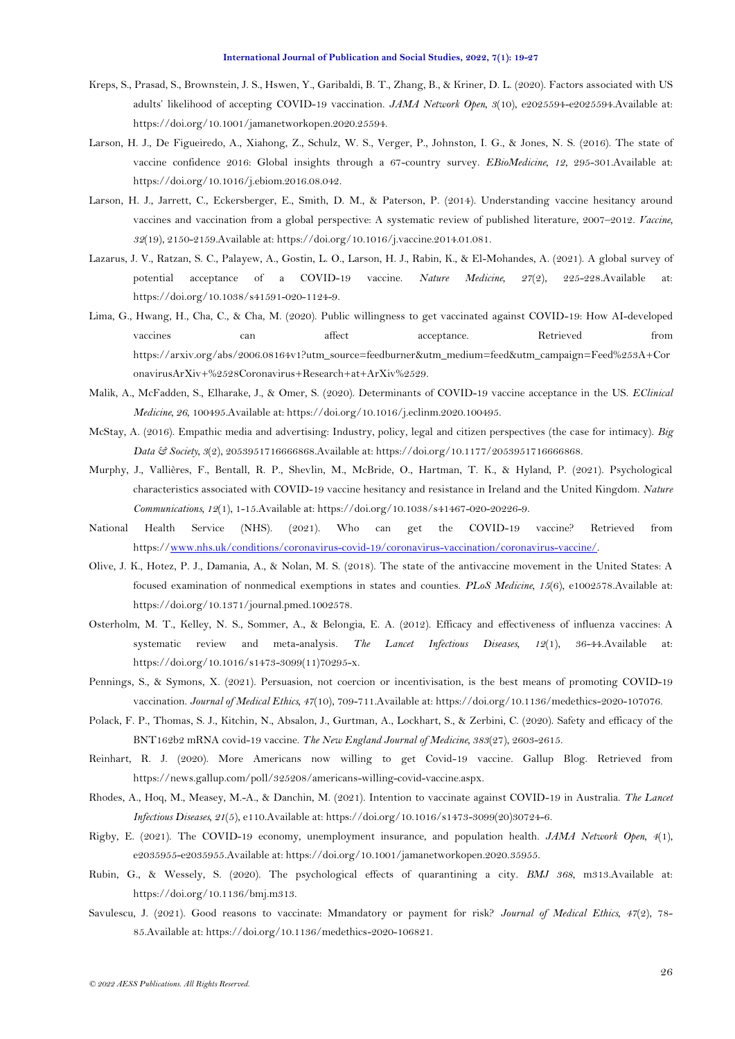- <span id="page-7-5"></span>Kreps, S., Prasad, S., Brownstein, J. S., Hswen, Y., Garibaldi, B. T., Zhang, B., & Kriner, D. L. (2020). Factors associated with US adults' likelihood of accepting COVID-19 vaccination. *JAMA Network Open, 3*(10), e2025594-e2025594.Available at: https://doi.org/10.1001/jamanetworkopen.2020.25594.
- <span id="page-7-1"></span>Larson, H. J., De Figueiredo, A., Xiahong, Z., Schulz, W. S., Verger, P., Johnston, I. G., & Jones, N. S. (2016). The state of vaccine confidence 2016: Global insights through a 67-country survey. *EBioMedicine, 12*, 295-301.Available at: https://doi.org/10.1016/j.ebiom.2016.08.042.
- <span id="page-7-7"></span>Larson, H. J., Jarrett, C., Eckersberger, E., Smith, D. M., & Paterson, P. (2014). Understanding vaccine hesitancy around vaccines and vaccination from a global perspective: A systematic review of published literature, 2007–2012. *Vaccine, 32*(19), 2150-2159.Available at: https://doi.org/10.1016/j.vaccine.2014.01.081.
- <span id="page-7-4"></span>Lazarus, J. V., Ratzan, S. C., Palayew, A., Gostin, L. O., Larson, H. J., Rabin, K., & El-Mohandes, A. (2021). A global survey of potential acceptance of a COVID-19 vaccine. *Nature Medicine, 27*(2), 225-228.Available at: https://doi.org/10.1038/s41591-020-1124-9.
- <span id="page-7-3"></span>Lima, G., Hwang, H., Cha, C., & Cha, M. (2020). Public willingness to get vaccinated against COVID-19: How AI-developed vaccines can affect acceptance. Retrieved from https://arxiv.org/abs/2006.08164v1?utm\_source=feedburner&utm\_medium=feed&utm\_campaign=Feed%253A+Cor onavirusArXiv+%2528Coronavirus+Research+at+ArXiv%2529.
- <span id="page-7-6"></span>Malik, A., McFadden, S., Elharake, J., & Omer, S. (2020). Determinants of COVID-19 vaccine acceptance in the US. *EClinical Medicine, 26*, 100495.Available at: https://doi.org/10.1016/j.eclinm.2020.100495.
- <span id="page-7-16"></span>McStay, A. (2016). Empathic media and advertising: Industry, policy, legal and citizen perspectives (the case for intimacy). *Big Data & Society, 3*(2), 2053951716666868.Available at: https://doi.org/10.1177/2053951716666868.
- <span id="page-7-2"></span>Murphy, J., Vallières, F., Bentall, R. P., Shevlin, M., McBride, O., Hartman, T. K., & Hyland, P. (2021). Psychological characteristics associated with COVID-19 vaccine hesitancy and resistance in Ireland and the United Kingdom. *Nature Communications, 12*(1), 1-15.Available at: https://doi.org/10.1038/s41467-020-20226-9.
- <span id="page-7-11"></span>National Health Service (NHS). (2021). Who can get the COVID-19 vaccine? Retrieved from https:/[/www.nhs.uk/conditions/coronavirus-covid-19/coronavirus-vaccination/coronavirus-vaccine/.](http://www.nhs.uk/conditions/coronavirus-covid-19/coronavirus-vaccination/coronavirus-vaccine/)
- <span id="page-7-12"></span>Olive, J. K., Hotez, P. J., Damania, A., & Nolan, M. S. (2018). The state of the antivaccine movement in the United States: A focused examination of nonmedical exemptions in states and counties. *PLoS Medicine, 15*(6), e1002578.Available at: https://doi.org/10.1371/journal.pmed.1002578.
- <span id="page-7-17"></span>Osterholm, M. T., Kelley, N. S., Sommer, A., & Belongia, E. A. (2012). Efficacy and effectiveness of influenza vaccines: A systematic review and meta-analysis. *The Lancet Infectious Diseases, 12*(1), 36-44.Available at: https://doi.org/10.1016/s1473-3099(11)70295-x.
- <span id="page-7-13"></span>Pennings, S., & Symons, X. (2021). Persuasion, not coercion or incentivisation, is the best means of promoting COVID-19 vaccination. *Journal of Medical Ethics, 47*(10), 709-711.Available at: https://doi.org/10.1136/medethics-2020-107076.
- <span id="page-7-0"></span>Polack, F. P., Thomas, S. J., Kitchin, N., Absalon, J., Gurtman, A., Lockhart, S., & Zerbini, C. (2020). Safety and efficacy of the BNT162b2 mRNA covid-19 vaccine. *The New England Journal of Medicine, 383*(27), 2603-2615.
- <span id="page-7-9"></span>Reinhart, R. J. (2020). More Americans now willing to get Covid-19 vaccine. Gallup Blog. Retrieved from https://news.gallup.com/poll/325208/americans-willing-covid-vaccine.aspx.
- <span id="page-7-8"></span>Rhodes, A., Hoq, M., Measey, M.-A., & Danchin, M. (2021). Intention to vaccinate against COVID-19 in Australia. *The Lancet Infectious Diseases, 21*(5), e110.Available at: https://doi.org/10.1016/s1473-3099(20)30724-6.
- <span id="page-7-10"></span>Rigby, E. (2021). The COVID-19 economy, unemployment insurance, and population health. *JAMA Network Open, 4*(1), e2035955-e2035955.Available at: https://doi.org/10.1001/jamanetworkopen.2020.35955.
- <span id="page-7-15"></span>Rubin, G., & Wessely, S. (2020). The psychological effects of quarantining a city. *BMJ 368*, m313.Available at: https://doi.org/10.1136/bmj.m313.
- <span id="page-7-14"></span>Savulescu, J. (2021). Good reasons to vaccinate: Mmandatory or payment for risk? *Journal of Medical Ethics, 47*(2), 78- 85.Available at: https://doi.org/10.1136/medethics-2020-106821.